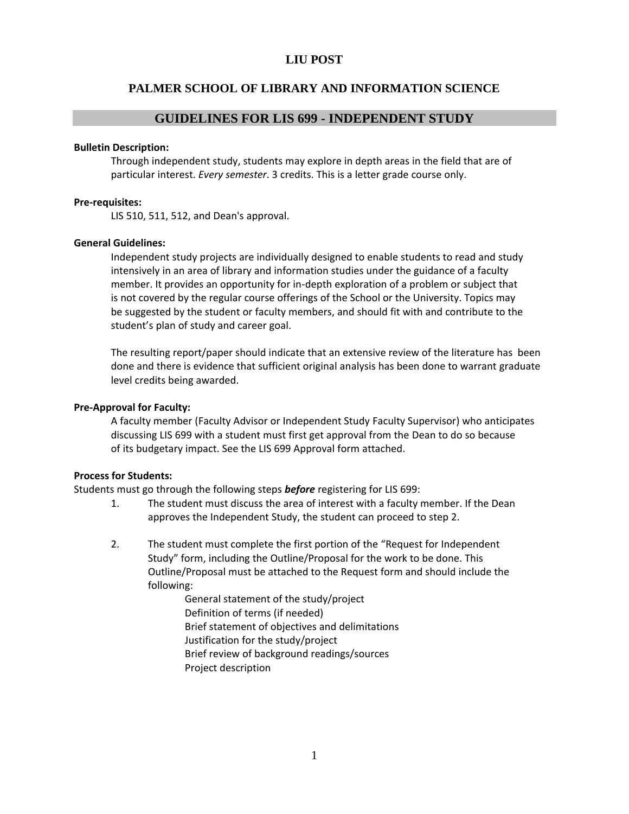### **LIU POST**

### **PALMER SCHOOL OF LIBRARY AND INFORMATION SCIENCE**

#### **GUIDELINES FOR LIS 699 - INDEPENDENT STUDY**

#### **Bulletin Description:**

Through independent study, students may explore in depth areas in the field that are of particular interest. *Every semester*. 3 credits. This is a letter grade course only.

#### **Pre-requisites:**

LIS 510, 511, 512, and Dean's approval.

#### **General Guidelines:**

Independent study projects are individually designed to enable students to read and study intensively in an area of library and information studies under the guidance of a faculty member. It provides an opportunity for in-depth exploration of a problem or subject that is not covered by the regular course offerings of the School or the University. Topics may be suggested by the student or faculty members, and should fit with and contribute to the student's plan of study and career goal.

The resulting report/paper should indicate that an extensive review of the literature has been done and there is evidence that sufficient original analysis has been done to warrant graduate level credits being awarded.

#### **Pre-Approval for Faculty:**

A faculty member (Faculty Advisor or Independent Study Faculty Supervisor) who anticipates discussing LIS 699 with a student must first get approval from the Dean to do so because of its budgetary impact. See the LIS 699 Approval form attached.

#### **Process for Students:**

Students must go through the following steps *before* registering for LIS 699:

- 1. The student must discuss the area of interest with a faculty member. If the Dean approves the Independent Study, the student can proceed to step 2.
- 2. The student must complete the first portion of the "Request for Independent Study" form, including the Outline/Proposal for the work to be done. This Outline/Proposal must be attached to the Request form and should include the following:

General statement of the study/project Definition of terms (if needed) Brief statement of objectives and delimitations Justification for the study/project Brief review of background readings/sources Project description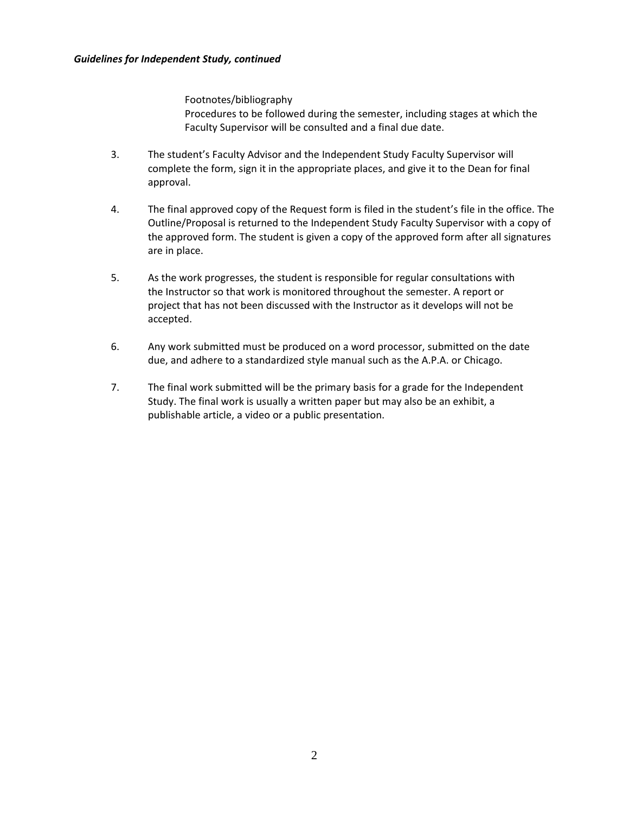Footnotes/bibliography Procedures to be followed during the semester, including stages at which the Faculty Supervisor will be consulted and a final due date.

- 3. The student's Faculty Advisor and the Independent Study Faculty Supervisor will complete the form, sign it in the appropriate places, and give it to the Dean for final approval.
- 4. The final approved copy of the Request form is filed in the student's file in the office. The Outline/Proposal is returned to the Independent Study Faculty Supervisor with a copy of the approved form. The student is given a copy of the approved form after all signatures are in place.
- 5. As the work progresses, the student is responsible for regular consultations with the Instructor so that work is monitored throughout the semester. A report or project that has not been discussed with the Instructor as it develops will not be accepted.
- 6. Any work submitted must be produced on a word processor, submitted on the date due, and adhere to a standardized style manual such as the A.P.A. or Chicago.
- 7. The final work submitted will be the primary basis for a grade for the Independent Study. The final work is usually a written paper but may also be an exhibit, a publishable article, a video or a public presentation.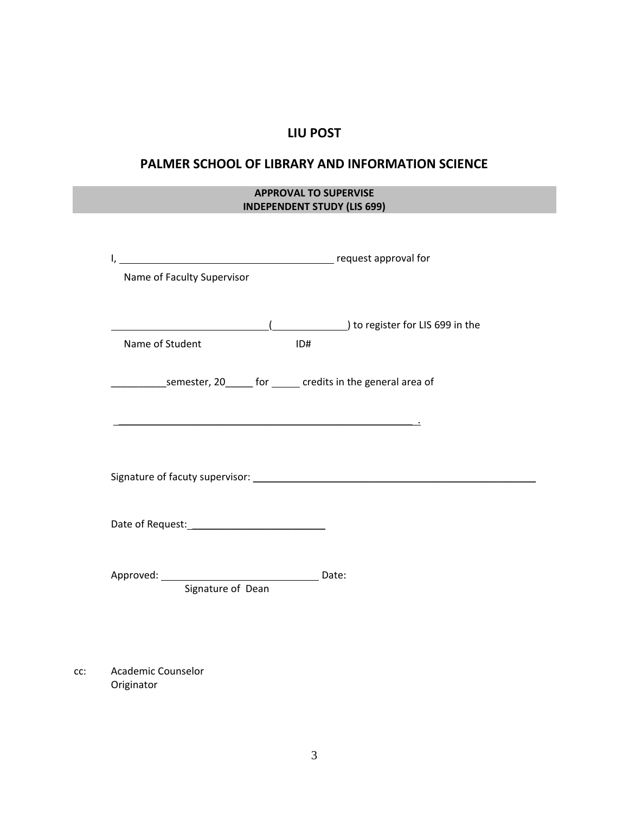# **LIU POST**

## **PALMER SCHOOL OF LIBRARY AND INFORMATION SCIENCE**

## **APPROVAL TO SUPERVISE INDEPENDENT STUDY (LIS 699)**

| Name of Faculty Supervisor                                                    |                                                                                       |  |  |  |  |  |
|-------------------------------------------------------------------------------|---------------------------------------------------------------------------------------|--|--|--|--|--|
|                                                                               | 10 to register for LIS 699 in the methods (California) to register for LIS 699 in the |  |  |  |  |  |
| Name of Student                                                               | ID#                                                                                   |  |  |  |  |  |
| _______________semester, 20_______ for _______ credits in the general area of |                                                                                       |  |  |  |  |  |
|                                                                               |                                                                                       |  |  |  |  |  |
|                                                                               |                                                                                       |  |  |  |  |  |
|                                                                               |                                                                                       |  |  |  |  |  |
| Signature of Dean                                                             |                                                                                       |  |  |  |  |  |
|                                                                               |                                                                                       |  |  |  |  |  |
|                                                                               |                                                                                       |  |  |  |  |  |

cc: Academic Counselor Originator